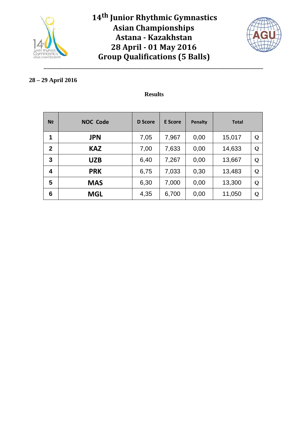



#### **28 – 29 April 2016**

### **Results**

| N <sub>2</sub> | <b>NOC Code</b> | <b>D</b> Score | <b>E</b> Score | <b>Penalty</b> | <b>Total</b> |   |
|----------------|-----------------|----------------|----------------|----------------|--------------|---|
| 1              | <b>JPN</b>      | 7,05           | 7,967          | 0,00           | 15,017       | Q |
| $\overline{2}$ | <b>KAZ</b>      | 7,00           | 7,633          | 0,00           | 14,633       | Q |
| 3              | <b>UZB</b>      | 6,40           | 7,267          | 0,00           | 13,667       | Q |
| 4              | <b>PRK</b>      | 6,75           | 7,033          | 0,30           | 13,483       | Q |
| 5              | <b>MAS</b>      | 6,30           | 7,000          | 0,00           | 13,300       | Q |
| 6              | <b>MGL</b>      | 4,35           | 6,700          | 0,00           | 11,050       | Q |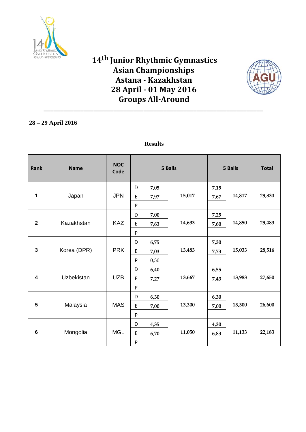

# **14th Junior Rhythmic Gymnastics Asian Championships Astana - Kazakhstan 28 April - 01 May 2016 Groups All-Around**

\_\_\_\_\_\_\_\_\_\_\_\_\_\_\_\_\_\_\_\_\_\_\_\_\_\_\_\_\_\_\_\_\_\_\_\_\_\_\_\_\_\_\_\_\_\_\_\_\_\_\_\_\_\_\_\_\_\_\_\_\_\_\_\_\_\_



### **28 – 29 April 2016**

| <b>Rank</b>    | <b>Name</b> | <b>NOC</b><br>Code | 5 Balls<br>5 Balls |      |        |      |        | <b>Total</b> |
|----------------|-------------|--------------------|--------------------|------|--------|------|--------|--------------|
|                |             |                    | D                  | 7,05 |        | 7,15 |        |              |
| 1              | Japan       | <b>JPN</b>         | E                  | 7,97 | 15,017 | 7,67 | 14,817 | 29,834       |
|                |             |                    | ${\sf P}$          |      |        |      |        |              |
|                |             |                    | D                  | 7,00 |        | 7,25 |        |              |
| $\mathbf{2}$   | Kazakhstan  | <b>KAZ</b>         | E                  | 7,63 | 14,633 | 7,60 | 14,850 | 29,483       |
|                |             |                    | P                  |      |        |      |        |              |
|                |             |                    | D                  | 6,75 |        | 7,30 |        |              |
| $\mathbf{3}$   | Korea (DPR) | <b>PRK</b>         | E                  | 7,03 | 13,483 | 7,73 | 15,033 | 28,516       |
|                |             |                    | P                  | 0,30 |        |      |        |              |
|                |             |                    | D                  | 6,40 |        | 6,55 |        |              |
| 4              | Uzbekistan  | <b>UZB</b>         | E                  | 7,27 | 13,667 | 7,43 | 13,983 | 27,650       |
|                |             |                    | ${\sf P}$          |      |        |      |        |              |
|                |             |                    | D                  | 6,30 |        | 6,30 |        |              |
| 5              | Malaysia    | <b>MAS</b>         | E                  | 7,00 | 13,300 | 7,00 | 13,300 | 26,600       |
|                |             |                    | P                  |      |        |      |        |              |
|                |             |                    | D                  | 4,35 |        | 4,30 |        |              |
| $6\phantom{1}$ | Mongolia    | <b>MGL</b>         | E                  | 6,70 | 11,050 | 6,83 | 11,133 | 22,183       |
|                |             |                    | ${\sf P}$          |      |        |      |        |              |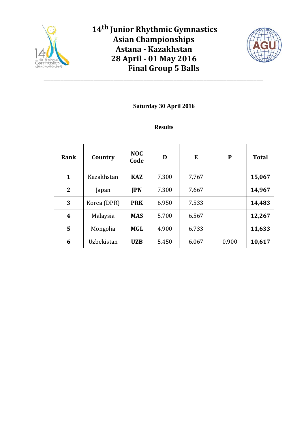

\_\_\_\_\_\_\_\_\_\_\_\_\_\_\_\_\_\_\_\_\_\_\_\_\_\_\_\_\_\_\_\_\_\_\_\_\_\_\_\_\_\_\_\_\_\_\_\_\_\_\_\_\_\_\_\_\_\_\_\_\_\_\_\_\_\_



## **Saturday 30 April 2016**

| Rank             | Country     | <b>NOC</b><br>Code | D     | E     | ${\bf P}$ | <b>Total</b> |
|------------------|-------------|--------------------|-------|-------|-----------|--------------|
| 1                | Kazakhstan  | <b>KAZ</b>         | 7,300 | 7,767 |           | 15,067       |
| $\mathbf{2}$     | Japan       | <b>JPN</b>         | 7,300 | 7,667 |           | 14,967       |
| 3                | Korea (DPR) | <b>PRK</b>         | 6,950 | 7,533 |           | 14,483       |
| $\boldsymbol{4}$ | Malaysia    | <b>MAS</b>         | 5,700 | 6,567 |           | 12,267       |
| 5                | Mongolia    | MGL                | 4,900 | 6,733 |           | 11,633       |
| 6                | Uzbekistan  | <b>UZB</b>         | 5,450 | 6,067 | 0,900     | 10,617       |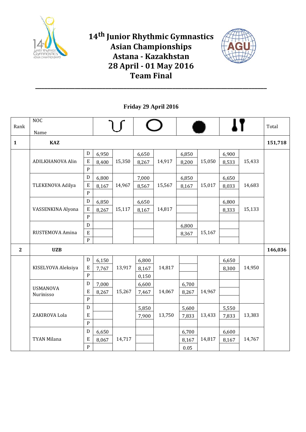



**Friday 29 April 2016**

|              | NOC                     |                |       |        |       |        |       |        |       |        |         |
|--------------|-------------------------|----------------|-------|--------|-------|--------|-------|--------|-------|--------|---------|
| Rank         | Name                    |                |       |        |       |        |       |        |       |        | Total   |
| $\mathbf{1}$ | <b>KAZ</b>              |                |       |        |       |        |       |        |       |        | 151,718 |
|              |                         | ${\rm D}$      | 6,950 |        | 6,650 |        | 6,850 |        | 6,900 |        |         |
|              | <b>ADILKHANOVA Alin</b> | E              | 8,400 | 15,350 | 8,267 | 14,917 | 8,200 | 15,050 | 8,533 | 15,433 |         |
|              |                         | $\overline{P}$ |       |        |       |        |       |        |       |        |         |
|              |                         | $\mathbf D$    | 6,800 |        | 7,000 |        | 6,850 |        | 6,650 |        |         |
|              | TLEKENOVA Adilya        | E              | 8,167 | 14,967 | 8,567 | 15,567 | 8,167 | 15,017 | 8,033 | 14,683 |         |
|              |                         | $\overline{P}$ |       |        |       |        |       |        |       |        |         |
|              |                         | D              | 6,850 |        | 6,650 |        |       |        | 6,800 |        |         |
|              | VASSENKINA Alyona       | $\mathbf E$    | 8,267 | 15,117 | 8,167 | 14,817 |       |        | 8,333 | 15,133 |         |
|              |                         | $\mathbf{P}$   |       |        |       |        |       |        |       |        |         |
|              |                         | D              |       |        |       |        | 6,800 |        |       |        |         |
|              | RUSTEMOVA Amina         | E              |       |        |       |        | 8,367 | 15,167 |       |        |         |
|              |                         | $\, {\bf P}$   |       |        |       |        |       |        |       |        |         |
| $\mathbf{2}$ | <b>UZB</b>              |                |       |        |       |        |       |        |       |        | 146,036 |
|              |                         | D              | 6,150 |        | 6,800 |        |       |        | 6,650 |        |         |
|              | KISELYOVA Aleksiya      | ${\bf E}$      | 7,767 | 13,917 | 8,167 | 14,817 |       |        | 8,300 | 14,950 |         |
|              |                         | $\, {\bf P}$   |       |        | 0,150 |        |       |        |       |        |         |
|              | <b>USMANOVA</b>         | $\mathbf D$    | 7,000 |        | 6,600 |        | 6,700 |        |       |        |         |
|              | Nurinisso               | ${\bf E}$      | 8,267 | 15,267 | 7,467 | 14,067 | 8,267 | 14,967 |       |        |         |
|              |                         | $\, {\bf P}$   |       |        |       |        |       |        |       |        |         |
|              |                         | $\overline{D}$ |       |        | 5,850 |        | 5,600 |        | 5,550 |        |         |
|              | ZAKIROVA Lola           | $\mathbf E$    |       |        | 7,900 | 13,750 | 7,833 | 13,433 | 7,833 | 13,383 |         |
|              |                         | $\mathbf{P}$   |       |        |       |        |       |        |       |        |         |
|              |                         | $\mathbf D$    | 6,650 |        |       |        | 6,700 |        | 6,600 |        |         |
|              | TYAN Milana             | E              | 8,067 | 14,717 |       |        | 8,167 | 14,817 | 8,167 | 14,767 |         |
|              |                         | ${\bf P}$      |       |        |       |        | 0.05  |        |       |        |         |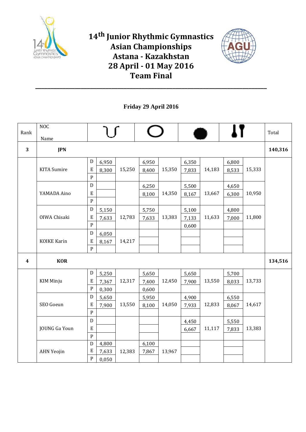



**Friday 29 April 2016**

|                  | <b>NOC</b>           |                                            |        |                |        |                |        |                |        |         |
|------------------|----------------------|--------------------------------------------|--------|----------------|--------|----------------|--------|----------------|--------|---------|
| Rank             | Name                 |                                            |        |                |        |                |        |                |        | Total   |
| 3                | <b>JPN</b>           |                                            |        |                |        |                |        |                |        | 140,316 |
|                  | <b>KITA</b> Sumire   | ${\rm D}$<br>6,950<br>E<br>8,300           | 15,250 | 6,950<br>8,400 | 15,350 | 6,350<br>7,833 | 14,183 | 6,800<br>8,533 | 15,333 |         |
|                  |                      | $\, {\bf P}$                               |        |                |        |                |        |                |        |         |
|                  |                      | D                                          |        | 6,250          |        | 5,500          |        | 4,650          |        |         |
|                  | YAMADA Aino          | $\mathbf E$<br>$\, {\bf P}$                |        | 8,100          | 14,350 | 8,167          | 13,667 | 6,300          | 10,950 |         |
|                  |                      | ${\rm D}$<br>5,150                         |        | 5,750          |        | 5,100          |        | 4,800          |        |         |
|                  | OIWA Chisaki         | $\mathbf E$<br>7,633<br>$\, {\bf P}$       | 12,783 | 7,633          | 13,383 | 7,133<br>0,600 | 11,633 | 7,000          | 11,800 |         |
|                  |                      | ${\rm D}$<br>6,050                         |        |                |        |                |        |                |        |         |
|                  | <b>KOIKE Karin</b>   | E<br>8,167                                 | 14,217 |                |        |                |        |                |        |         |
|                  |                      | $\, {\bf P}$                               |        |                |        |                |        |                |        |         |
| $\boldsymbol{4}$ | <b>KOR</b>           |                                            |        |                |        |                |        |                |        | 134,516 |
|                  |                      | $\mathbf D$<br>5,250                       |        | 5,650          |        | 5,650          |        | 5,700          |        |         |
|                  | <b>KIM Minju</b>     | $\mathbf E$<br>7,367                       | 12,317 | 7,400          | 12,450 | 7,900          | 13,550 | 8,033          | 13,733 |         |
|                  |                      | ${\bf P}$<br>0,300<br>$\mathbf D$<br>5,650 |        | 0,600<br>5,950 |        | 4,900          |        | 6,550          |        |         |
|                  | SEO Goeun            | $\mathbf E$<br>7,900                       | 13,550 | 8,100          | 14,050 | 7,933          | 12,833 | 8,067          | 14,617 |         |
|                  |                      | ${\bf P}$                                  |        |                |        |                |        |                |        |         |
|                  |                      | D                                          |        |                |        | 4,450          |        | 5,550          |        |         |
|                  | <b>JOUNG Ga Youn</b> | $\mathbf E$                                |        |                |        | 6,667          | 11,117 | 7,833          | 13,383 |         |
|                  |                      | ${\bf P}$<br>${\rm D}$<br>4,800            |        | 6,100          |        |                |        |                |        |         |
|                  | <b>AHN Yeojin</b>    | $\mathbf E$<br>7,633                       | 12,383 | 7,867          | 13,967 |                |        |                |        |         |
|                  |                      | $\mathbf P$<br>0,050                       |        |                |        |                |        |                |        |         |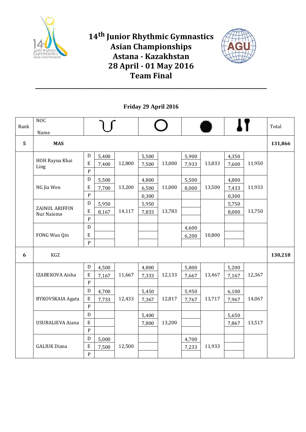



**Friday 29 April 2016**

| Rank | NOC                          |                |       |        |       |        |       |        |       |        | Total   |
|------|------------------------------|----------------|-------|--------|-------|--------|-------|--------|-------|--------|---------|
|      | Name                         |                |       |        |       |        |       |        |       |        |         |
| 5    | <b>MAS</b>                   |                |       |        |       |        |       |        |       |        | 131,866 |
|      |                              | $\mathbf D$    | 5,400 |        | 5,500 |        | 5,900 |        | 4,350 |        |         |
|      | HOH Rayna Khai<br>Ling       | E              | 7,400 | 12,800 | 7,500 | 13,000 | 7,933 | 13,833 | 7,600 | 11,950 |         |
|      |                              | $\overline{P}$ |       |        |       |        |       |        |       |        |         |
|      |                              | ${\bf D}$      | 5,500 |        | 4,800 |        | 5,500 |        | 4,800 |        |         |
|      | NG Jia Wen                   | E              | 7,700 | 13,200 | 6,500 | 11,000 | 8,000 | 13,500 | 7,433 | 11,933 |         |
|      |                              | $\mathbf{P}$   |       |        | 0,300 |        |       |        | 0,300 |        |         |
|      |                              | $\mathbf D$    | 5,950 |        | 5,950 |        |       |        | 5,750 |        |         |
|      | ZAINUL ARIFFIN<br>Nur Naieme | E              | 8,167 | 14,117 | 7,833 | 13,783 |       |        | 8,000 | 13,750 |         |
|      |                              | $\overline{P}$ |       |        |       |        |       |        |       |        |         |
|      |                              | $\mathbf D$    |       |        |       |        | 4,600 |        |       |        |         |
|      | FONG Wan Qin                 | ${\bf E}$      |       |        |       |        | 6,200 | 10,800 |       |        |         |
|      |                              | $\mathbf{P}$   |       |        |       |        |       |        |       |        |         |
| 6    | KGZ                          |                |       |        |       |        |       |        |       |        | 130,218 |
|      |                              | ${\bf D}$      | 4,500 |        | 4,800 |        | 5,800 |        | 5,200 |        |         |
|      | IZABEKOVA Aisha              | $\rm E$        | 7,167 | 11,667 | 7,333 | 12,133 | 7,667 | 13,467 | 7,167 | 12,367 |         |
|      |                              | $\overline{P}$ |       |        |       |        |       |        |       |        |         |
|      |                              | $\mathbf D$    | 4,700 |        | 5,450 |        | 5,950 |        | 6,100 |        |         |
|      | <b>BYKOVSKAIA Agata</b>      | $\mathbf E$    | 7,733 | 12,433 | 7,367 | 12,817 | 7,767 | 13,717 | 7,967 | 14,067 |         |
|      |                              | $\mathsf{P}$   |       |        |       |        |       |        |       |        |         |
|      |                              | ${\bf D}$      |       |        | 5,400 |        |       |        | 5,650 |        |         |
|      | USUBALIEVA Aiana             | ${\bf E}$      |       |        | 7,800 | 13,200 |       |        | 7,867 | 13,517 |         |
|      |                              | $\overline{P}$ |       |        |       |        |       |        |       |        |         |
|      |                              | $\mathbf D$    | 5,000 |        |       |        | 4,700 |        |       |        |         |
|      | <b>GALIUK Diana</b>          | ${\bf E}$      | 7,500 | 12,500 |       |        | 7,233 | 11,933 |       |        |         |
|      |                              | ${\bf P}$      |       |        |       |        |       |        |       |        |         |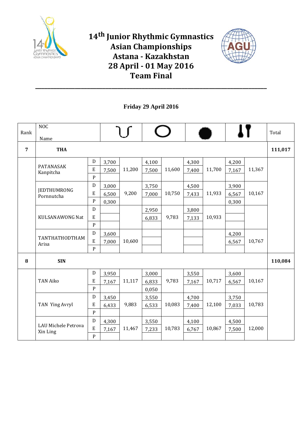



**Friday 29 April 2016**

|                | NOC                                    |              |       |        |       |        |       |        |       |        |         |
|----------------|----------------------------------------|--------------|-------|--------|-------|--------|-------|--------|-------|--------|---------|
| Rank           | Name                                   |              |       |        |       |        |       |        |       |        | Total   |
| $\overline{7}$ | <b>THA</b>                             |              |       |        |       |        |       |        |       |        | 111,017 |
|                |                                        | D            | 3,700 |        | 4,100 |        | 4,300 |        | 4,200 |        |         |
|                | PATANASAK<br>Kanpitcha                 | ${\bf E}$    | 7,500 | 11,200 | 7,500 | 11,600 | 7,400 | 11,700 | 7,167 | 11,367 |         |
|                |                                        | ${\bf P}$    |       |        |       |        |       |        |       |        |         |
|                |                                        | D            | 3,000 |        | 3,750 |        | 4,500 |        | 3,900 |        |         |
|                | <b>JEDTHUMRONG</b><br>Pornnutcha       | E            | 6,500 | 9,200  | 7,000 | 10,750 | 7,433 | 11,933 | 6,567 | 10,167 |         |
|                |                                        | ${\bf P}$    | 0,300 |        |       |        |       |        | 0,300 |        |         |
|                |                                        | D            |       |        | 2,950 |        | 3,800 |        |       |        |         |
|                | KULSANAWONG Nat                        | E            |       |        | 6,833 | 9,783  | 7,133 | 10,933 |       |        |         |
|                |                                        | ${\bf P}$    |       |        |       |        |       |        |       |        |         |
|                | TANTHATHODTHAM                         | D            | 3,600 |        |       |        |       |        | 4,200 |        |         |
|                | Arisa                                  | $\mathbf E$  | 7,000 | 10,600 |       |        |       |        | 6,567 | 10,767 |         |
|                |                                        | ${\bf P}$    |       |        |       |        |       |        |       |        |         |
| 8              | <b>SIN</b>                             |              |       |        |       |        |       |        |       |        | 110,084 |
|                |                                        | D            | 3,950 |        | 3,000 |        | 3,550 |        | 3,600 |        |         |
|                | <b>TAN Aiko</b>                        | E            | 7,167 | 11,117 | 6,833 | 9,783  | 7,167 | 10,717 | 6,567 | 10,167 |         |
|                |                                        | ${\bf P}$    |       |        | 0,050 |        |       |        |       |        |         |
|                |                                        | D            | 3,450 |        | 3,550 |        | 4,700 |        | 3,750 |        |         |
|                | TAN Ying Avryl                         | ${\bf E}$    | 6,433 | 9,883  | 6,533 | 10,083 | 7,400 | 12,100 | 7,033 | 10,783 |         |
|                |                                        | ${\bf P}$    |       |        |       |        |       |        |       |        |         |
|                |                                        | $\mathbf D$  | 4,300 |        | 3,550 |        | 4,100 |        | 4,500 |        |         |
|                | <b>LAU Michele Petrova</b><br>Xin Ling | ${\bf E}$    | 7,167 | 11,467 | 7,233 | 10,783 | 6,767 | 10,867 | 7,500 | 12,000 |         |
|                |                                        | $\mathbf{P}$ |       |        |       |        |       |        |       |        |         |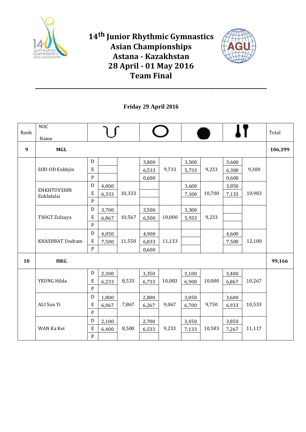



**Friday 29 April 2016**

| Rank             | <b>NOC</b><br>Name              |             |       |        |       |        |       |        |       |        | Total   |
|------------------|---------------------------------|-------------|-------|--------|-------|--------|-------|--------|-------|--------|---------|
| $\boldsymbol{9}$ | <b>MGL</b>                      |             |       |        |       |        |       |        |       |        | 106,399 |
|                  |                                 | $\mathbf D$ |       |        | 3,800 |        | 3,500 |        | 3,600 |        |         |
|                  | SOD-OD Enkhjin                  | ${\bf E}$   |       |        | 6,533 | 9,733  | 5,733 | 9,233  | 6,300 | 9,300  |         |
|                  |                                 | ${\bf P}$   |       |        | 0,600 |        |       |        | 0,600 |        |         |
|                  |                                 | D           | 4,000 |        |       |        | 3,600 |        | 3,850 |        |         |
|                  | <b>ENKHTUVSHIN</b><br>Enkhdalai | ${\bf E}$   | 6,333 | 10,333 |       |        | 7,100 | 10,700 | 7,133 | 10,983 |         |
|                  |                                 | ${\bf P}$   |       |        |       |        |       |        |       |        |         |
|                  |                                 | ${\bf D}$   | 3,700 |        | 3,500 |        | 3,300 |        |       |        |         |
|                  | TSOGT Zulzaya                   | ${\bf E}$   | 6,867 | 10,567 | 6,500 | 10,000 | 5,933 | 9,233  |       |        |         |
|                  |                                 | ${\bf P}$   |       |        |       |        |       |        |       |        |         |
|                  |                                 | $\mathbf D$ | 4,050 |        | 4,900 |        |       |        | 4,600 |        |         |
|                  | KHASHBAT Undram                 | $\rm E$     | 7,500 | 11,550 | 6,833 | 11,133 |       |        | 7,500 | 12,100 |         |
|                  |                                 | ${\bf P}$   |       |        | 0,600 |        |       |        |       |        |         |
| 10               | <b>HKG</b>                      |             |       |        |       |        |       |        |       |        | 99,166  |
|                  |                                 | $\mathbf D$ | 2,300 |        | 3,350 |        | 3,100 |        | 3,400 |        |         |
|                  | YEUNG Hilda                     | ${\bf E}$   | 6,233 | 8,533  | 6,733 | 10,083 | 6,900 | 10,000 | 6,867 | 10,267 |         |
|                  |                                 | ${\bf P}$   |       |        |       |        |       |        |       |        |         |
|                  |                                 | D           | 1,800 |        | 2,800 |        | 3,050 |        | 3,600 |        |         |
|                  | ALI Sun Yi                      | ${\bf E}$   | 6,067 | 7,867  | 6,267 | 9,067  | 6,700 | 9,750  | 6,933 | 10,533 |         |
|                  |                                 | ${\bf P}$   |       |        |       |        |       |        |       |        |         |
|                  |                                 | ${\bf D}$   | 2,100 |        | 2,700 |        | 3,450 |        | 3,850 |        |         |
|                  | WAN Ka Kei                      | ${\bf E}$   | 6,400 | 8,500  | 6,533 | 9,233  | 7,133 | 10,583 | 7,267 | 11,117 |         |
|                  |                                 | ${\bf P}$   |       |        |       |        |       |        |       |        |         |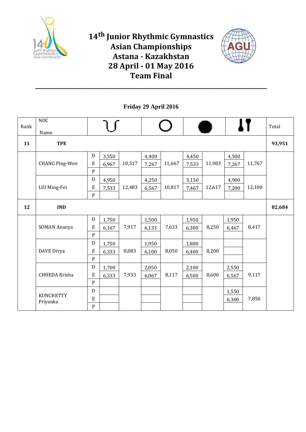



**Friday 29 April 2016**

| Rank | <b>NOC</b><br>Name           |                                          |                |        |                |        |                |        |                |        | Total  |
|------|------------------------------|------------------------------------------|----------------|--------|----------------|--------|----------------|--------|----------------|--------|--------|
| 11   | <b>TPE</b>                   |                                          |                |        |                |        |                |        |                |        | 93,951 |
|      | <b>CHANG Ping-Wen</b>        | $\mathbf D$<br>${\bf E}$                 | 3,550          | 10,517 | 4,400          | 11,667 | 4,450          | 11,983 | 4,500          | 11,767 |        |
|      |                              | ${\bf P}$                                | 6,967          |        | 7,267          |        | 7,533          |        | 7,267          |        |        |
|      |                              | $\mathbf D$                              | 4,950          |        | 4,250          |        | 5,150          |        | 4,900          |        |        |
|      | LIU Ming-Fei                 | E<br>${\bf P}$                           | 7,533          | 12,483 | 6,567          | 10,817 | 7,467          | 12,617 | 7,200          | 12,100 |        |
| 12   | <b>IND</b>                   |                                          |                |        |                |        |                |        |                |        | 82,684 |
|      | <b>SOMAN Ananya</b>          | ${\bf D}$<br>${\bf E}$<br>${\bf P}$      | 1,750<br>6,167 | 7,917  | 1,500<br>6,133 | 7,633  | 1,950<br>6,300 | 8,250  | 1,950<br>6,467 | 8,417  |        |
|      | DAVE Divya                   | ${\bf D}$<br>E<br>${\bf P}$              | 1,750<br>6,333 | 8,083  | 1,950<br>6,100 | 8,050  | 1,800<br>6,400 | 8,200  |                |        |        |
|      | <b>CHHEDA Krisha</b>         | ${\bf D}$<br>$\mathbf E$<br>$\mathbf{P}$ | 1,700<br>6,233 | 7,933  | 2,050<br>6,067 | 8,117  | 2,100<br>6,500 | 8,600  | 2,550<br>6,567 | 9,117  |        |
|      | <b>KUNCHETTY</b><br>Priyanka | ${\bf D}$<br>E<br>${\bf P}$              |                |        |                |        |                |        | 1,550<br>6,300 | 7,850  |        |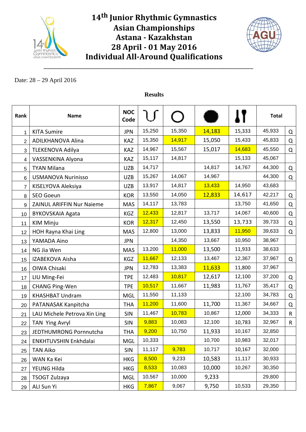

\_\_\_\_\_\_\_\_\_\_\_\_\_\_\_\_\_\_\_\_\_\_\_\_\_\_\_\_\_\_\_\_\_\_\_\_\_\_\_\_\_\_\_\_\_\_\_\_\_\_\_\_\_\_\_\_\_\_\_\_\_\_\_



#### Date: 28 – 29 April 2016

| Rank           | <b>Name</b>                  | <b>NOC</b><br>Code |        |        |        |        | <b>Total</b> |   |
|----------------|------------------------------|--------------------|--------|--------|--------|--------|--------------|---|
| 1              | <b>KITA Sumire</b>           | <b>JPN</b>         | 15,250 | 15,350 | 14,183 | 15,333 | 45,933       | Q |
| 2              | ADILKHANOVA Alina            | KAZ                | 15,350 | 14,917 | 15,050 | 15,433 | 45,833       | Q |
| 3              | <b>TLEKENOVA Adilya</b>      | <b>KAZ</b>         | 14,967 | 15,567 | 15,017 | 14,683 | 45,550       | Q |
| 4              | VASSENKINA Alyona            | KAZ                | 15,117 | 14,817 |        | 15,133 | 45,067       |   |
| 5              | <b>TYAN Milana</b>           | <b>UZB</b>         | 14,717 |        | 14,817 | 14,767 | 44,300       | Q |
| 6              | <b>USMANOVA Nurinisso</b>    | <b>UZB</b>         | 15,267 | 14,067 | 14,967 |        | 44,300       | Q |
| $\overline{7}$ | KISELYOVA Aleksiya           | <b>UZB</b>         | 13,917 | 14,817 | 13,433 | 14,950 | 43,683       |   |
| 8              | SEO Goeun                    | <b>KOR</b>         | 13,550 | 14,050 | 12,833 | 14,617 | 42,217       | Q |
| 9              | ZAINUL ARIFFIN Nur Naieme    | <b>MAS</b>         | 14,117 | 13,783 |        | 13,750 | 41,650       | Q |
| 10             | <b>BYKOVSKAIA Agata</b>      | KGZ                | 12,433 | 12,817 | 13,717 | 14,067 | 40,600       | Q |
| 11             | <b>KIM Minju</b>             | <b>KOR</b>         | 12,317 | 12,450 | 13,550 | 13,733 | 39,733       | Q |
| 12             | HOH Rayna Khai Ling          | <b>MAS</b>         | 12,800 | 13,000 | 13,833 | 11,950 | 39,633       | Q |
| 13             | YAMADA Aino                  | <b>JPN</b>         |        | 14,350 | 13,667 | 10,950 | 38,967       |   |
| 14             | NG Jia Wen                   | <b>MAS</b>         | 13,200 | 11,000 | 13,500 | 11,933 | 38,633       |   |
| 15             | IZABEKOVA Aisha              | KGZ                | 11,667 | 12,133 | 13,467 | 12,367 | 37,967       | Q |
| 16             | OIWA Chisaki                 | <b>JPN</b>         | 12,783 | 13,383 | 11,633 | 11,800 | 37,967       |   |
| 17             | LIU Ming-Fei                 | <b>TPE</b>         | 12,483 | 10,817 | 12,617 | 12,100 | 37,200       | Q |
| 18             | <b>CHANG Ping-Wen</b>        | <b>TPE</b>         | 10,517 | 11,667 | 11,983 | 11,767 | 35,417       | Q |
| 19             | <b>KHASHBAT Undram</b>       | <b>MGL</b>         | 11,550 | 11,133 |        | 12,100 | 34,783       | Q |
| 20             | PATANASAK Kanpitcha          | <b>THA</b>         | 11,200 | 11,600 | 11,700 | 11,367 | 34,667       | Q |
| 21             | LAU Michele Petrova Xin Ling | <b>SIN</b>         | 11,467 | 10,783 | 10,867 | 12,000 | 34,333       | R |
| 22             | TAN Ying Avryl               | <b>SIN</b>         | 9,883  | 10,083 | 12,100 | 10,783 | 32,967       | R |
| 23             | JEDTHUMRONG Pornnutcha       | THA                | 9,200  | 10,750 | 11,933 | 10,167 | 32,850       |   |
| 24             | ENKHTUVSHIN Enkhdalai        | <b>MGL</b>         | 10,333 |        | 10,700 | 10,983 | 32,017       |   |
| 25             | <b>TAN Aiko</b>              | <b>SIN</b>         | 11,117 | 9,783  | 10,717 | 10,167 | 32,000       |   |
| 26             | WAN Ka Kei                   | <b>HKG</b>         | 8,500  | 9,233  | 10,583 | 11,117 | 30,933       |   |
| 27             | YEUNG Hilda                  | <b>HKG</b>         | 8,533  | 10,083 | 10,000 | 10,267 | 30,350       |   |
| 28             | TSOGT Zulzaya                | <b>MGL</b>         | 10,567 | 10,000 | 9,233  |        | 29,800       |   |
| 29             | ALI Sun Yi                   | <b>HKG</b>         | 7,867  | 9,067  | 9,750  | 10,533 | 29,350       |   |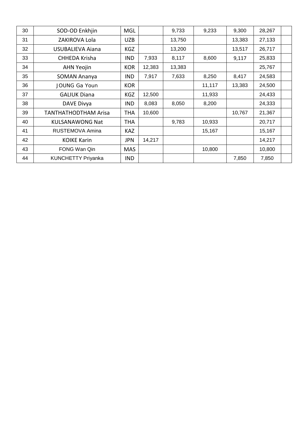| 30 | SOD-OD Enkhjin              | MGL        |        | 9,733  | 9,233  | 9,300  | 28,267 |
|----|-----------------------------|------------|--------|--------|--------|--------|--------|
| 31 | ZAKIROVA Lola               | <b>UZB</b> |        | 13,750 |        | 13,383 | 27,133 |
| 32 | <b>USUBALIEVA Aiana</b>     | <b>KGZ</b> |        | 13,200 |        | 13,517 | 26,717 |
| 33 | CHHEDA Krisha               | <b>IND</b> | 7,933  | 8,117  | 8,600  | 9,117  | 25,833 |
| 34 | <b>AHN Yeojin</b>           | <b>KOR</b> | 12,383 | 13,383 |        |        | 25,767 |
| 35 | <b>SOMAN Ananya</b>         | <b>IND</b> | 7,917  | 7,633  | 8,250  | 8,417  | 24,583 |
| 36 | <b>JOUNG Ga Youn</b>        | <b>KOR</b> |        |        | 11,117 | 13,383 | 24,500 |
| 37 | <b>GALIUK Diana</b>         | KGZ        | 12,500 |        | 11,933 |        | 24,433 |
| 38 | DAVE Divya                  | <b>IND</b> | 8,083  | 8,050  | 8,200  |        | 24,333 |
| 39 | <b>TANTHATHODTHAM Arisa</b> | THA        | 10,600 |        |        | 10,767 | 21,367 |
| 40 | <b>KULSANAWONG Nat</b>      | <b>THA</b> |        | 9,783  | 10,933 |        | 20,717 |
| 41 | RUSTEMOVA Amina             | <b>KAZ</b> |        |        | 15,167 |        | 15,167 |
| 42 | <b>KOIKE Karin</b>          | <b>JPN</b> | 14,217 |        |        |        | 14,217 |
| 43 | FONG Wan Qin                | <b>MAS</b> |        |        | 10,800 |        | 10,800 |
| 44 | <b>KUNCHETTY Priyanka</b>   | <b>IND</b> |        |        |        | 7,850  | 7,850  |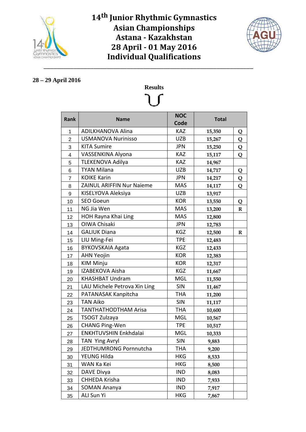



#### **28 – 29 April 2016**

|                  |                                  | <b>NOC</b> |              |             |
|------------------|----------------------------------|------------|--------------|-------------|
| Rank             | <b>Name</b>                      | Code       | <b>Total</b> |             |
| 1                | <b>ADILKHANOVA Alina</b>         | <b>KAZ</b> | 15,350       | Q           |
| $\overline{2}$   | <b>USMANOVA Nurinisso</b>        | <b>UZB</b> | 15,267       | Q           |
| 3                | <b>KITA Sumire</b>               | <b>JPN</b> | 15,250       | Q           |
| 4                | VASSENKINA Alyona                | <b>KAZ</b> | 15,117       | Q           |
| 5                | <b>TLEKENOVA Adilya</b>          | <b>KAZ</b> | 14,967       |             |
| 6                | <b>TYAN Milana</b>               | <b>UZB</b> | 14,717       | Q           |
| 7                | <b>KOIKE Karin</b>               | <b>JPN</b> | 14,217       | Q           |
| 8                | <b>ZAINUL ARIFFIN Nur Naieme</b> | <b>MAS</b> | 14,117       | Q           |
| $\boldsymbol{9}$ | KISELYOVA Aleksiya               | <b>UZB</b> | 13,917       |             |
| 10               | <b>SEO Goeun</b>                 | <b>KOR</b> | 13,550       | Q           |
| 11               | NG Jia Wen                       | <b>MAS</b> | 13,200       | $\bf R$     |
| 12               | <b>HOH Rayna Khai Ling</b>       | <b>MAS</b> | 12,800       |             |
| 13               | OIWA Chisaki                     | <b>JPN</b> | 12,783       |             |
| 14               | <b>GALIUK Diana</b>              | <b>KGZ</b> | 12,500       | $\mathbf R$ |
| 15               | LIU Ming-Fei                     | <b>TPE</b> | 12,483       |             |
| 16               | <b>BYKOVSKAIA Agata</b>          | KGZ        | 12,433       |             |
| 17               | <b>AHN Yeojin</b>                | <b>KOR</b> | 12,383       |             |
| 18               | <b>KIM Minju</b>                 | <b>KOR</b> | 12,317       |             |
| 19               | IZABEKOVA Aisha                  | <b>KGZ</b> | 11,667       |             |
| 20               | <b>KHASHBAT Undram</b>           | <b>MGL</b> | 11,550       |             |
| 21               | LAU Michele Petrova Xin Ling     | <b>SIN</b> | 11,467       |             |
| 22               | PATANASAK Kanpitcha              | <b>THA</b> | 11,200       |             |
| 23               | <b>TAN Aiko</b>                  | <b>SIN</b> | 11,117       |             |
| 24               | <b>TANTHATHODTHAM Arisa</b>      | <b>THA</b> | 10,600       |             |
| 25               | TSOGT Zulzaya                    | <b>MGL</b> | 10,567       |             |
| 26               | <b>CHANG Ping-Wen</b>            | <b>TPE</b> | 10,517       |             |
| 27               | ENKHTUVSHIN Enkhdalai            | <b>MGL</b> | 10,333       |             |
| 28               | TAN Ying Avryl                   | <b>SIN</b> | 9,883        |             |
| 29               | JEDTHUMRONG Pornnutcha           | THA        | 9,200        |             |
| 30               | YEUNG Hilda                      | <b>HKG</b> | 8,533        |             |
| 31               | WAN Ka Kei                       | <b>HKG</b> | 8,500        |             |
| 32               | DAVE Divya                       | <b>IND</b> | 8,083        |             |
| 33               | CHHEDA Krisha                    | <b>IND</b> | 7,933        |             |
| 34               | <b>SOMAN Ananya</b>              | <b>IND</b> | 7,917        |             |
| 35               | ALI Sun Yi                       | <b>HKG</b> | 7,867        |             |

# **Results**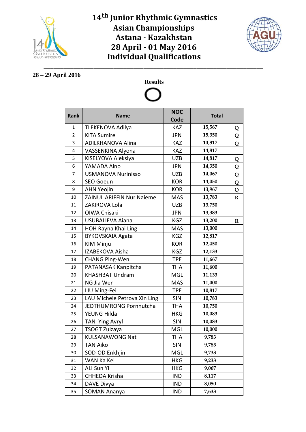



#### **28 – 29 April 2016**

# **Results**

| Rank         | <b>Name</b>                  | <b>NOC</b><br>Code | <b>Total</b> |             |
|--------------|------------------------------|--------------------|--------------|-------------|
| $\mathbf{1}$ | <b>TLEKENOVA Adilya</b>      | <b>KAZ</b>         | 15,567       | Q           |
| 2            | <b>KITA Sumire</b>           | JPN                | 15,350       | Q           |
| 3            | <b>ADILKHANOVA Alina</b>     | <b>KAZ</b>         | 14,917       | Q           |
| 4            | VASSENKINA Alyona            | <b>KAZ</b>         | 14,817       |             |
| 5            | KISELYOVA Aleksiya           | <b>UZB</b>         | 14,817       | Q           |
| 6            | YAMADA Aino                  | <b>JPN</b>         | 14,350       | Q           |
| 7            | <b>USMANOVA Nurinisso</b>    | <b>UZB</b>         | 14,067       | Q           |
| 8            | <b>SEO Goeun</b>             | <b>KOR</b>         | 14,050       | Q           |
| 9            | <b>AHN Yeojin</b>            | <b>KOR</b>         | 13,967       | Q           |
| 10           | ZAINUL ARIFFIN Nur Naieme    | <b>MAS</b>         | 13,783       | $\mathbf R$ |
| 11           | ZAKIROVA Lola                | <b>UZB</b>         | 13,750       |             |
| 12           | <b>OIWA Chisaki</b>          | <b>JPN</b>         | 13,383       |             |
| 13           | <b>USUBALIEVA Aiana</b>      | KGZ                | 13,200       | $\mathbf R$ |
| 14           | HOH Rayna Khai Ling          | <b>MAS</b>         | 13,000       |             |
| 15           | <b>BYKOVSKAIA Agata</b>      | KGZ                | 12,817       |             |
| 16           | <b>KIM Minju</b>             | <b>KOR</b>         | 12,450       |             |
| 17           | IZABEKOVA Aisha              | KGZ                | 12,133       |             |
| 18           | <b>CHANG Ping-Wen</b>        | <b>TPE</b>         | 11,667       |             |
| 19           | PATANASAK Kanpitcha          | <b>THA</b>         | 11,600       |             |
| 20           | <b>KHASHBAT Undram</b>       | <b>MGL</b>         | 11,133       |             |
| 21           | NG Jia Wen                   | <b>MAS</b>         | 11,000       |             |
| 22           | LIU Ming-Fei                 | <b>TPE</b>         | 10,817       |             |
| 23           | LAU Michele Petrova Xin Ling | <b>SIN</b>         | 10,783       |             |
| 24           | JEDTHUMRONG Pornnutcha       | <b>THA</b>         | 10,750       |             |
| 25           | YEUNG Hilda                  | HKG                | 10,083       |             |
| 26           | TAN Ying Avryl               | SIN                | 10,083       |             |
| 27           | TSOGT Zulzaya                | <b>MGL</b>         | 10,000       |             |
| 28           | <b>KULSANAWONG Nat</b>       | <b>THA</b>         | 9,783        |             |
| 29           | TAN Aiko                     | <b>SIN</b>         | 9,783        |             |
| 30           | SOD-OD Enkhjin               | MGL                | 9,733        |             |
| 31           | WAN Ka Kei                   | <b>HKG</b>         | 9,233        |             |
| 32           | ALI Sun Yi                   | HKG                | 9,067        |             |
| 33           | CHHEDA Krisha                | IND                | 8,117        |             |
| 34           | DAVE Divya                   | IND                | 8,050        |             |
| 35           | <b>SOMAN Ananya</b>          | <b>IND</b>         | 7,633        |             |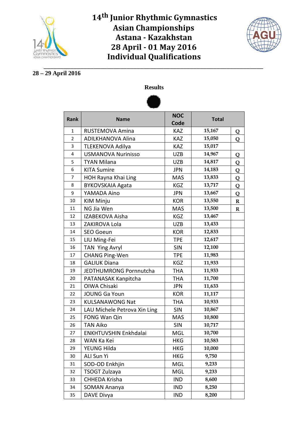



\_\_\_\_\_\_\_\_\_\_\_\_\_\_\_\_\_\_\_\_\_\_\_\_\_\_\_\_\_\_\_\_\_\_\_\_\_\_\_\_\_\_\_\_\_\_\_\_\_\_\_\_\_\_\_\_\_\_\_\_\_\_\_\_\_\_ **28 – 29 April 2016**



| Rank           | <b>Name</b>                  | <b>NOC</b> | <b>Total</b> |             |  |  |
|----------------|------------------------------|------------|--------------|-------------|--|--|
|                |                              | Code       |              |             |  |  |
| $\mathbf{1}$   | RUSTEMOVA Amina              | <b>KAZ</b> | 15,167       | Q           |  |  |
| $\overline{2}$ | <b>ADILKHANOVA Alina</b>     | KAZ        | 15,050       | Q           |  |  |
| 3              | <b>TLEKENOVA Adilya</b>      | <b>KAZ</b> | 15,017       |             |  |  |
| 4              | <b>USMANOVA Nurinisso</b>    | <b>UZB</b> | 14,967       | Q           |  |  |
| 5              | <b>TYAN Milana</b>           | <b>UZB</b> | 14,817       | Q           |  |  |
| 6              | <b>KITA Sumire</b>           | <b>JPN</b> | 14,183       | Q           |  |  |
| 7              | HOH Rayna Khai Ling          | <b>MAS</b> | 13,833       | Q           |  |  |
| 8              | <b>BYKOVSKAIA Agata</b>      | KGZ        | 13,717       | Q           |  |  |
| 9              | YAMADA Aino                  | <b>JPN</b> | 13,667       | Q           |  |  |
| 10             | <b>KIM Minju</b>             | <b>KOR</b> | 13,550       | $\mathbf R$ |  |  |
| 11             | NG Jia Wen                   | <b>MAS</b> | 13,500       | $\mathbf R$ |  |  |
| 12             | IZABEKOVA Aisha              | KGZ        | 13,467       |             |  |  |
| 13             | ZAKIROVA Lola                | <b>UZB</b> | 13,433       |             |  |  |
| 14             | <b>SEO Goeun</b>             | <b>KOR</b> | 12,833       |             |  |  |
| 15             | LIU Ming-Fei                 | <b>TPE</b> | 12,617       |             |  |  |
| 16             | TAN Ying Avryl               | <b>SIN</b> | 12,100       |             |  |  |
| 17             | <b>CHANG Ping-Wen</b>        | <b>TPE</b> | 11,983       |             |  |  |
| 18             | <b>GALIUK Diana</b>          | KGZ        | 11,933       |             |  |  |
| 19             | JEDTHUMRONG Pornnutcha       | THA        | 11,933       |             |  |  |
| 20             | PATANASAK Kanpitcha          | <b>THA</b> | 11,700       |             |  |  |
| 21             | OIWA Chisaki                 | <b>JPN</b> | 11,633       |             |  |  |
| 22             | <b>JOUNG Ga Youn</b>         | <b>KOR</b> | 11,117       |             |  |  |
| 23             | <b>KULSANAWONG Nat</b>       | THA        | 10,933       |             |  |  |
| 24             | LAU Michele Petrova Xin Ling | <b>SIN</b> | 10,867       |             |  |  |
| 25             | FONG Wan Qin                 | <b>MAS</b> | 10,800       |             |  |  |
| 26             | <b>TAN Aiko</b>              | <b>SIN</b> | 10,717       |             |  |  |
| 27             | ENKHTUVSHIN Enkhdalai        | <b>MGL</b> | 10,700       |             |  |  |
| 28             | WAN Ka Kei                   | <b>HKG</b> | 10,583       |             |  |  |
| 29             | YEUNG Hilda                  | <b>HKG</b> | 10,000       |             |  |  |
| 30             | ALI Sun Yi                   | <b>HKG</b> | 9,750        |             |  |  |
| 31             | SOD-OD Enkhjin               | <b>MGL</b> | 9,233        |             |  |  |
| 32             | <b>TSOGT Zulzaya</b>         | <b>MGL</b> | 9,233        |             |  |  |
| 33             | CHHEDA Krisha                | <b>IND</b> | 8,600        |             |  |  |
| 34             | SOMAN Ananya                 | <b>IND</b> | 8,250        |             |  |  |
| 35             | DAVE Divya                   | <b>IND</b> | 8,200        |             |  |  |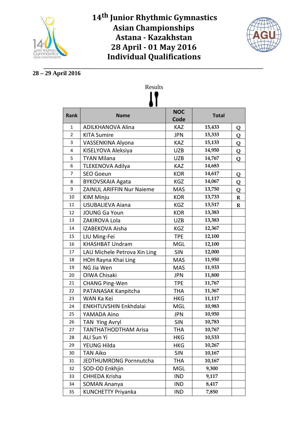



#### \_\_\_\_\_\_\_\_\_\_\_\_\_\_\_\_\_\_\_\_\_\_\_\_\_\_\_\_\_\_\_\_\_\_\_\_\_\_\_\_\_\_\_\_\_\_\_\_\_\_\_\_\_\_\_\_\_\_\_\_\_\_\_\_\_\_ **28 – 29 April 2016**

| <b>Rank</b>    | <b>Name</b>                      | <b>NOC</b> | <b>Total</b> |             |
|----------------|----------------------------------|------------|--------------|-------------|
|                |                                  | Code       |              |             |
| 1              | <b>ADILKHANOVA Alina</b>         | KAZ        | 15,433       | Q           |
| $\overline{2}$ | <b>KITA Sumire</b>               | <b>JPN</b> | 15,333       | Q           |
| 3              | VASSENKINA Alyona                | <b>KAZ</b> | 15,133       | Q           |
| 4              | KISELYOVA Aleksiya               | <b>UZB</b> | 14,950       | Q           |
| 5              | <b>TYAN Milana</b>               | <b>UZB</b> | 14,767       | Q           |
| 6              | <b>TLEKENOVA Adilya</b>          | <b>KAZ</b> | 14,683       |             |
| 7              | <b>SEO Goeun</b>                 | <b>KOR</b> | 14,617       | Q           |
| 8              | <b>BYKOVSKAIA Agata</b>          | KGZ        | 14,067       | Q           |
| 9              | <b>ZAINUL ARIFFIN Nur Naieme</b> | <b>MAS</b> | 13,750       | Q           |
| 10             | <b>KIM Minju</b>                 | <b>KOR</b> | 13,733       | $\mathbf R$ |
| 11             | <b>USUBALIEVA Aiana</b>          | KGZ        | 13,517       | $\mathbf R$ |
| 12             | <b>JOUNG Ga Youn</b>             | <b>KOR</b> | 13,383       |             |
| 13             | ZAKIROVA Lola                    | <b>UZB</b> | 13,383       |             |
| 14             | IZABEKOVA Aisha                  | <b>KGZ</b> | 12,367       |             |
| 15             | LIU Ming-Fei                     | <b>TPE</b> | 12,100       |             |
| 16             | <b>KHASHBAT Undram</b>           | <b>MGL</b> | 12,100       |             |
| 17             | LAU Michele Petrova Xin Ling     | <b>SIN</b> | 12,000       |             |
| 18             | <b>HOH Rayna Khai Ling</b>       | <b>MAS</b> | 11,950       |             |
| 19             | NG Jia Wen                       | <b>MAS</b> | 11,933       |             |
| 20             | <b>OIWA Chisaki</b>              | <b>JPN</b> | 11,800       |             |
| 21             | <b>CHANG Ping-Wen</b>            | <b>TPE</b> | 11,767       |             |
| 22             | PATANASAK Kanpitcha              | <b>THA</b> | 11,367       |             |
| 23             | WAN Ka Kei                       | <b>HKG</b> | 11,117       |             |
| 24             | <b>ENKHTUVSHIN Enkhdalai</b>     | <b>MGL</b> | 10,983       |             |
| 25             | YAMADA Aino                      | <b>JPN</b> | 10,950       |             |
| 26             | <b>TAN Ying Avryl</b>            | <b>SIN</b> | 10,783       |             |
| 27             | TANTHATHODTHAM Arisa             | <b>THA</b> | 10,767       |             |
| 28             | ALI Sun Yi                       | <b>HKG</b> | 10,533       |             |
| 29             | YEUNG Hilda                      | <b>HKG</b> | 10,267       |             |
| 30             | <b>TAN Aiko</b>                  | <b>SIN</b> | 10,167       |             |
| 31             | JEDTHUMRONG Pornnutcha           | <b>THA</b> | 10,167       |             |
| 32             | SOD-OD Enkhjin                   | <b>MGL</b> | 9,300        |             |
| 33             | CHHEDA Krisha                    | <b>IND</b> | 9,117        |             |
| 34             | <b>SOMAN Ananya</b>              | <b>IND</b> | 8,417        |             |
| 35             | <b>KUNCHETTY Priyanka</b>        | <b>IND</b> | 7,850        |             |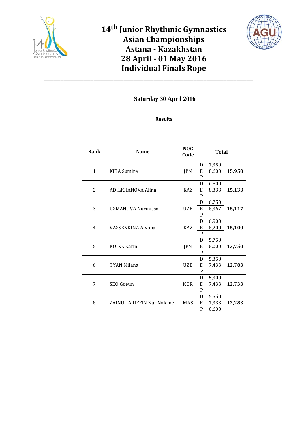



\_\_\_\_\_\_\_\_\_\_\_\_\_\_\_\_\_\_\_\_\_\_\_\_\_\_\_\_\_\_\_\_\_\_\_\_\_\_\_\_\_\_\_\_\_\_\_\_\_\_\_\_\_\_\_\_\_\_\_\_\_\_\_

| Rank           | <b>Name</b>                      | <b>NOC</b><br>Code | <b>Total</b> |       |        |  |  |
|----------------|----------------------------------|--------------------|--------------|-------|--------|--|--|
|                |                                  |                    | D            | 7,350 |        |  |  |
| $\mathbf{1}$   | <b>KITA</b> Sumire               | JPN                | E            | 8,600 | 15,950 |  |  |
|                |                                  |                    | $\mathbf{P}$ |       |        |  |  |
|                |                                  |                    | D            | 6,800 |        |  |  |
| $\overline{2}$ | ADILKHANOVA Alina                | <b>KAZ</b>         | E<br>P       | 8,333 | 15,133 |  |  |
|                |                                  |                    | D            | 6,750 |        |  |  |
| 3              | <b>USMANOVA Nurinisso</b>        | <b>UZB</b>         | E            | 8,367 | 15,117 |  |  |
|                |                                  |                    | $\mathbf{P}$ |       |        |  |  |
|                |                                  |                    | D            | 6,900 | 15,100 |  |  |
| 4              | VASSENKINA Alyona                | <b>KAZ</b>         | E            | 8,200 |        |  |  |
|                |                                  |                    | P            |       |        |  |  |
|                |                                  | JPN                | D            | 5,750 | 13,750 |  |  |
| 5              | <b>KOIKE Karin</b>               |                    | E            | 8,000 |        |  |  |
|                |                                  |                    | P            |       |        |  |  |
|                |                                  |                    | D            | 5,350 |        |  |  |
| 6              | TYAN Milana                      | <b>UZB</b>         | E            | 7,433 | 12,783 |  |  |
|                |                                  |                    | P            |       |        |  |  |
|                |                                  |                    | D            | 5,300 |        |  |  |
| 7              | SEO Goeun                        | <b>KOR</b>         | E            | 7,433 | 12,733 |  |  |
|                |                                  |                    | P            |       |        |  |  |
|                |                                  | <b>MAS</b>         | D            | 5,550 | 12,283 |  |  |
| 8              | <b>ZAINUL ARIFFIN Nur Najeme</b> |                    | E            | 7,333 |        |  |  |
|                |                                  |                    | $\mathbf P$  | 0,600 |        |  |  |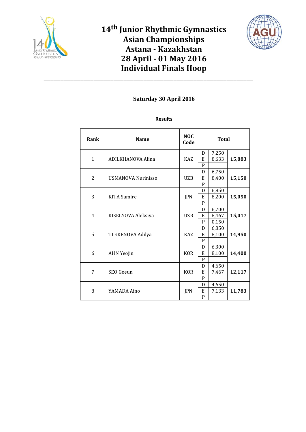



\_\_\_\_\_\_\_\_\_\_\_\_\_\_\_\_\_\_\_\_\_\_\_\_\_\_\_\_\_\_\_\_\_\_\_\_\_\_\_\_\_\_\_\_\_\_\_\_\_\_\_\_\_\_\_\_\_\_\_\_\_\_\_

| Rank           | <b>Name</b>               | <b>NOC</b><br>Code | <b>Total</b> |       |        |  |
|----------------|---------------------------|--------------------|--------------|-------|--------|--|
|                |                           |                    | D            | 7,250 |        |  |
| $\mathbf{1}$   | ADILKHANOVA Alina         | <b>KAZ</b>         | E            | 8,633 | 15,883 |  |
|                |                           |                    | P            |       |        |  |
|                |                           |                    | D            | 6,750 |        |  |
| $\overline{2}$ | <b>USMANOVA Nurinisso</b> | <b>UZB</b>         | E            | 8,400 | 15,150 |  |
|                |                           |                    | P            |       |        |  |
|                |                           |                    | D            | 6,850 | 15,050 |  |
| 3              | <b>KITA</b> Sumire        | <b>JPN</b>         | E            | 8,200 |        |  |
|                |                           |                    | P            |       |        |  |
|                | KISELYOVA Aleksiya        | <b>UZB</b>         | D            | 6,700 | 15,017 |  |
| $\overline{4}$ |                           |                    | E            | 8,467 |        |  |
|                |                           |                    | P            | 0,150 |        |  |
|                | TLEKENOVA Adilya          | <b>KAZ</b>         | D            | 6,850 | 14,950 |  |
| 5              |                           |                    | E            | 8,100 |        |  |
|                |                           |                    | P            |       |        |  |
|                |                           |                    | D            | 6,300 |        |  |
| 6              | <b>AHN Yeojin</b>         | <b>KOR</b>         | E            | 8,100 | 14,400 |  |
|                |                           |                    | $\mathbf{P}$ |       |        |  |
|                | SEO Goeun                 |                    | D            | 4,650 |        |  |
| 7              |                           | <b>KOR</b>         | E            | 7,467 | 12,117 |  |
|                |                           |                    | P            |       |        |  |
|                |                           | <b>JPN</b>         | D            | 4,650 | 11,783 |  |
| 8              | YAMADA Aino               |                    | E            | 7,133 |        |  |
|                |                           |                    | P            |       |        |  |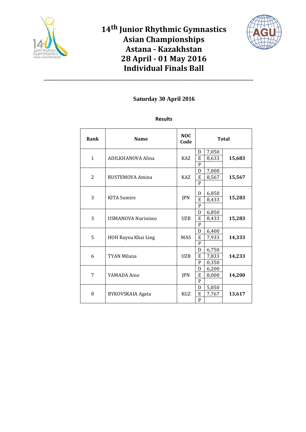



\_\_\_\_\_\_\_\_\_\_\_\_\_\_\_\_\_\_\_\_\_\_\_\_\_\_\_\_\_\_\_\_\_\_\_\_\_\_\_\_\_\_\_\_\_\_\_\_\_\_\_\_\_\_\_\_\_\_\_\_\_\_\_

| Rank           | <b>Name</b>             | <b>NOC</b><br>Code | <b>Total</b> |       |        |  |
|----------------|-------------------------|--------------------|--------------|-------|--------|--|
|                |                         |                    | D            | 7,050 |        |  |
| $\mathbf{1}$   | ADILKHANOVA Alina       | <b>KAZ</b>         | E            | 8,633 | 15,683 |  |
|                |                         |                    | $\mathbf{P}$ |       |        |  |
|                |                         |                    | D            | 7,000 |        |  |
| $\overline{2}$ | RUSTEMOVA Amina         | <b>KAZ</b>         | E            | 8,567 | 15,567 |  |
|                |                         |                    | P            |       |        |  |
|                |                         |                    | D            | 6,850 | 15,283 |  |
| 3              | <b>KITA</b> Sumire      | JPN                | E            | 8,433 |        |  |
|                |                         |                    | P            |       |        |  |
| 3              | USMANOVA Nurinisso      | <b>UZB</b>         | D            | 6,850 | 15,283 |  |
|                |                         |                    | E            | 8,433 |        |  |
|                |                         |                    | P            |       |        |  |
|                | HOH Rayna Khai Ling     | <b>MAS</b>         | D            | 6,400 | 14,333 |  |
| 5              |                         |                    | E            | 7,933 |        |  |
|                |                         |                    | P            |       |        |  |
|                |                         |                    | D            | 6,750 |        |  |
| 6              | TYAN Milana             | <b>UZB</b>         | E            | 7,833 | 14,233 |  |
|                |                         |                    | $\mathbf P$  | 0,350 |        |  |
| 7              |                         |                    | D            | 6,200 |        |  |
|                | YAMADA Aino             | <b>JPN</b>         | E            | 8,000 | 14,200 |  |
|                |                         |                    | P            |       |        |  |
|                |                         |                    | D            | 5,850 |        |  |
| 8              | <b>BYKOVSKAIA Agata</b> | KGZ                | E            | 7,767 | 13,617 |  |
|                |                         |                    | P            |       |        |  |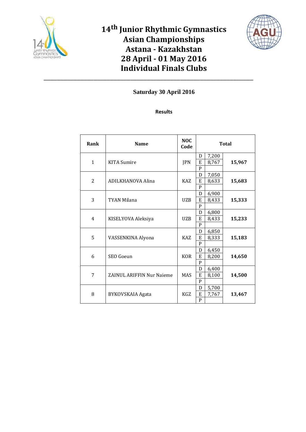



\_\_\_\_\_\_\_\_\_\_\_\_\_\_\_\_\_\_\_\_\_\_\_\_\_\_\_\_\_\_\_\_\_\_\_\_\_\_\_\_\_\_\_\_\_\_\_\_\_\_\_\_\_\_\_\_\_\_\_\_\_\_\_

| Rank           | <b>Name</b>               | <b>NOC</b><br>Code | <b>Total</b>      |       |        |  |
|----------------|---------------------------|--------------------|-------------------|-------|--------|--|
|                |                           |                    | D                 | 7,200 |        |  |
| $\mathbf{1}$   | <b>KITA</b> Sumire        | <b>JPN</b>         | E<br>$\mathbf{P}$ | 8,767 | 15,967 |  |
|                |                           |                    | D                 | 7,050 |        |  |
| $\overline{2}$ | ADILKHANOVA Alina         | <b>KAZ</b>         | E                 | 8,633 | 15,683 |  |
|                |                           |                    | P                 |       |        |  |
|                |                           |                    | D                 | 6,900 |        |  |
| 3              | <b>TYAN Milana</b>        | <b>UZB</b>         | E                 | 8,433 | 15,333 |  |
|                |                           |                    | P                 |       |        |  |
| $\overline{4}$ | KISELYOVA Aleksiya        | <b>UZB</b>         | D                 | 6,800 | 15,233 |  |
|                |                           |                    | E<br>$\mathbf{P}$ | 8,433 |        |  |
|                |                           |                    | D                 | 6,850 |        |  |
| 5              | VASSENKINA Alyona         | <b>KAZ</b>         | E                 | 8,333 | 15,183 |  |
|                |                           |                    | P                 |       |        |  |
|                |                           |                    | D                 | 6,450 |        |  |
| 6              | SEO Goeun                 | <b>KOR</b>         | E                 | 8,200 | 14,650 |  |
|                |                           |                    | P                 |       |        |  |
|                |                           |                    | D                 | 6,400 |        |  |
| 7              | ZAINUL ARIFFIN Nur Naieme | <b>MAS</b>         | E                 | 8,100 | 14,500 |  |
|                |                           |                    | P                 |       |        |  |
|                |                           |                    | D                 | 5,700 | 13,467 |  |
| 8              | BYKOVSKAIA Agata          | KGZ                | E                 | 7,767 |        |  |
|                |                           |                    | $\mathbf{P}$      |       |        |  |